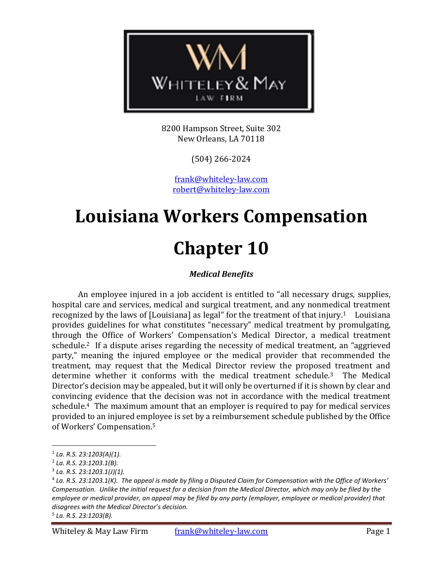

8200 Hampson Street, Suite 302 New Orleans, LA 70118

(504) 266-2024

[frank@whiteley-law.com](mailto:fwhiteley@whiteley-law.com) robert@whiteley-law.com

# **Louisiana Workers Compensation**

# **Chapter 10**

# *Medical Benefits*

An employee injured in a job accident is entitled to "all necessary drugs, supplies, hospital care and services, medical and surgical treatment, and any nonmedical treatment recognized by the laws of [Louisiana] as legal" for the treatment of that injury.1 Louisiana provides guidelines for what constitutes "necessary" medical treatment by promulgating, through the Office of Workers' Compensation's Medical Director, a medical treatment schedule.2 If a dispute arises regarding the necessity of medical treatment, an "aggrieved party," meaning the injured employee or the medical provider that recommended the treatment, may request that the Medical Director review the proposed treatment and determine whether it conforms with the medical treatment schedule.3 The Medical Director's decision may be appealed, but it will only be overturned if it is shown by clear and convincing evidence that the decision was not in accordance with the medical treatment schedule.4 The maximum amount that an employer is required to pay for medical services provided to an injured employee is set by a reimbursement schedule published by the Office of Workers' Compensation.<sup>5</sup>

<sup>1</sup> *La. R.S. 23:1203(A)(1).*

<sup>2</sup> *La. R.S. 23:1203.1(B).*

<sup>3</sup> *La. R.S. 23:1203.1(J)(1).*

<sup>4</sup> *La. R.S. 23:1203.1(K). The appeal is made by filing a Disputed Claim for Compensation with the Office of Workers' Compensation. Unlike the initial request for a decision from the Medical Director, which may only be filed by the employee or medical provider, an appeal may be filed by any party (employer, employee or medical provider) that disagrees with the Medical Director's decision.*

<sup>5</sup> *La. R.S. 23:1203(B).*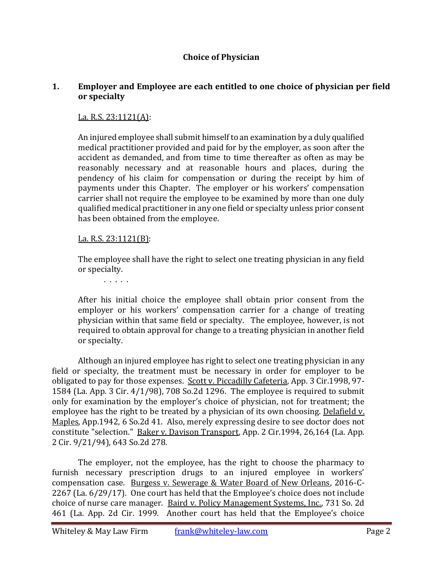#### **Choice of Physician**

#### **1. Employer and Employee are each entitled to one choice of physician per field or specialty**

#### La. R.S. 23:1121(A):

An injured employee shall submit himself to an examination by a duly qualified medical practitioner provided and paid for by the employer, as soon after the accident as demanded, and from time to time thereafter as often as may be reasonably necessary and at reasonable hours and places, during the pendency of his claim for compensation or during the receipt by him of payments under this Chapter. The employer or his workers' compensation carrier shall not require the employee to be examined by more than one duly qualified medical practitioner in any one field or specialty unless prior consent has been obtained from the employee.

#### La. R.S. 23:1121(B):

The employee shall have the right to select one treating physician in any field or specialty.

. . . . .

After his initial choice the employee shall obtain prior consent from the employer or his workers' compensation carrier for a change of treating physician within that same field or specialty. The employee, however, is not required to obtain approval for change to a treating physician in another field or specialty.

Although an injured employee has right to select one treating physician in any field or specialty, the treatment must be necessary in order for employer to be obligated to pay for those expenses. Scott v. Piccadilly Cafeteria, App. 3 Cir.1998, 97- 1584 (La. App. 3 Cir. 4/1/98), 708 So.2d 1296. The employee is required to submit only for examination by the employer's choice of physician, not for treatment; the employee has the right to be treated by a physician of its own choosing. Delafield v. Maples, App.1942, 6 So.2d 41. Also, merely expressing desire to see doctor does not constitute "selection." Baker v. Davison Transport, App. 2 Cir.1994, 26,164 (La. App. 2 Cir. 9/21/94), 643 So.2d 278.

The employer, not the employee, has the right to choose the pharmacy to furnish necessary prescription drugs to an injured employee in workers' compensation case. Burgess v. Sewerage & Water Board of New Orleans, 2016-C-2267 (La. 6/29/17). One court has held that the Employee's choice does not include choice of nurse care manager. Baird v. Policy Management Systems, Inc., 731 So. 2d 461 (La. App. 2d Cir. 1999. Another court has held that the Employee's choice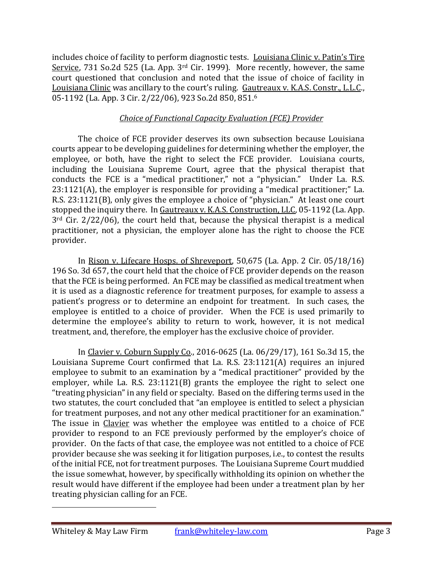includes choice of facility to perform diagnostic tests. Louisiana Clinic v. Patin's Tire Service, 731 So.2d 525 (La. App. 3<sup>rd</sup> Cir. 1999). More recently, however, the same court questioned that conclusion and noted that the issue of choice of facility in Louisiana Clinic was ancillary to the court's ruling. Gautreaux v. K.A.S. Constr., L.L.C., 05-1192 (La. App. 3 Cir. 2/22/06), 923 So.2d 850, 851.<sup>6</sup>

# *Choice of Functional Capacity Evaluation (FCE) Provider*

The choice of FCE provider deserves its own subsection because Louisiana courts appear to be developing guidelines for determining whether the employer, the employee, or both, have the right to select the FCE provider. Louisiana courts, including the Louisiana Supreme Court, agree that the physical therapist that conducts the FCE is a "medical practitioner," not a "physician." Under La. R.S. 23:1121(A), the employer is responsible for providing a "medical practitioner;" La. R.S. 23:1121(B), only gives the employee a choice of "physician." At least one court stopped the inquiry there. In Gautreaux v. K.A.S. Construction, LLC, 05-1192 (La. App. 3rd Cir. 2/22/06), the court held that, because the physical therapist is a medical practitioner, not a physician, the employer alone has the right to choose the FCE provider.

In [Rison v. Lifecare Hosps. of Shreveport, 50,675 \(La.](https://advance.lexis.com/api/document/collection/cases/id/5JT6-33R1-F04G-H045-00000-00?cite=196%20So.%203d%20657&context=1000516) App. 2 Cir. 05/18/16) [196 So. 3d 657,](https://advance.lexis.com/api/document/collection/cases/id/5JT6-33R1-F04G-H045-00000-00?cite=196%20So.%203d%20657&context=1000516) the court held that the choice of FCE provider depends on the reason that the FCE is being performed. An FCE may be classified as medical treatment when it is used as a diagnostic reference for treatment purposes, for example to assess a patient's progress or to determine an endpoint for treatment. In such cases, the employee is entitled to a choice of provider. When the FCE is used primarily to determine the employee's ability to return to work, however, it is not medical treatment, and, therefore, the employer has the exclusive choice of provider.

In [Clavier v. Coburn Supply Co., 2016-0625 \(La. 06/29/17\),](https://advance.lexis.com/api/document/collection/cases/id/5NX6-K4R1-FGCG-S1MN-00000-00?cite=2017%20La.%20LEXIS%201381&context=1000516) 161 So.3d 15, the Louisiana Supreme Court confirmed that La. R.S. 23:1121(A) requires an injured employee to submit to an examination by a "medical practitioner" provided by the employer, while La. R.S. 23:1121(B) grants the employee the right to select one "treating physician" in any field or specialty. Based on the differing terms used in the two statutes, the court concluded that "an employee is entitled to select a physician for treatment purposes, and not any other medical practitioner for an examination." The issue in Clavier was whether the employee was entitled to a choice of FCE provider to respond to an FCE previously performed by the employer's choice of provider. On the facts of that case, the employee was not entitled to a choice of FCE provider because she was seeking it for litigation purposes, i.e., to contest the results of the initial FCE, not for treatment purposes. The Louisiana Supreme Court muddied the issue somewhat, however, by specifically withholding its opinion on whether the result would have different if the employee had been under a treatment plan by her treating physician calling for an FCE.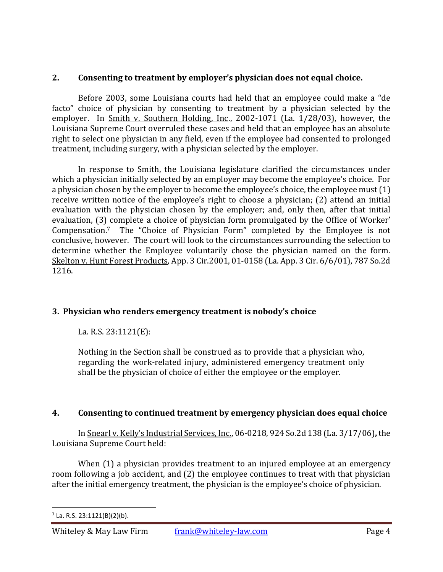# **2. Consenting to treatment by employer's physician does not equal choice.**

Before 2003, some Louisiana courts had held that an employee could make a "de facto" choice of physician by consenting to treatment by a physician selected by the employer. In Smith v. Southern Holding, Inc., 2002-1071 (La. 1/28/03), however, the Louisiana Supreme Court overruled these cases and held that an employee has an absolute right to select one physician in any field, even if the employee had consented to prolonged treatment, including surgery, with a physician selected by the employer.

In response to Smith, the Louisiana legislature clarified the circumstances under which a physician initially selected by an employer may become the employee's choice. For a physician chosen by the employer to become the employee's choice, the employee must (1) receive written notice of the employee's right to choose a physician; (2) attend an initial evaluation with the physician chosen by the employer; and, only then, after that initial evaluation, (3) complete a choice of physician form promulgated by the Office of Worker' Compensation. <sup>7</sup> The "Choice of Physician Form" completed by the Employee is not conclusive, however. The court will look to the circumstances surrounding the selection to determine whether the Employee voluntarily chose the physician named on the form. Skelton v. Hunt Forest Products, App. 3 Cir.2001, 01-0158 (La. App. 3 Cir. 6/6/01), 787 So.2d 1216.

# **3. Physician who renders emergency treatment is nobody's choice**

La. R.S. 23:1121(E):

Nothing in the Section shall be construed as to provide that a physician who, regarding the work-related injury, administered emergency treatment only shall be the physician of choice of either the employee or the employer.

# **4. Consenting to continued treatment by emergency physician does equal choice**

In Snearl v. Kelly's Industrial Services, Inc., 06-0218, 924 So.2d 138 (La. 3/17/06)**,** the Louisiana Supreme Court held:

When (1) a physician provides treatment to an injured employee at an emergency room following a job accident, and (2) the employee continues to treat with that physician after the initial emergency treatment, the physician is the employee's choice of physician.

<sup>7</sup> La. R.S. 23:1121(B)(2)(b).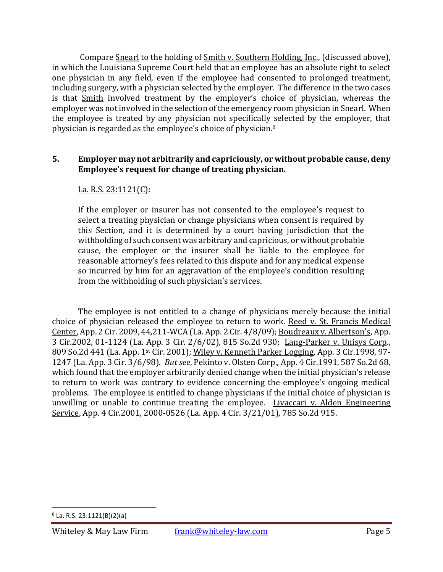Compare Snearl to the holding of Smith v. Southern Holding, Inc., (discussed above), in which the Louisiana Supreme Court held that an employee has an absolute right to select one physician in any field, even if the employee had consented to prolonged treatment, including surgery, with a physician selected by the employer. The difference in the two cases is that Smith involved treatment by the employer's choice of physician, whereas the employer was not involved in the selection of the emergency room physician in Snearl. When the employee is treated by any physician not specifically selected by the employer, that physician is regarded as the employee's choice of physician.<sup>8</sup>

#### **5. Employer may not arbitrarily and capriciously, or without probable cause, deny Employee's request for change of treating physician.**

#### La. R.S. 23:1121(C):

If the employer or insurer has not consented to the employee's request to select a treating physician or change physicians when consent is required by this Section, and it is determined by a court having jurisdiction that the withholding of such consent was arbitrary and capricious, or without probable cause, the employer or the insurer shall be liable to the employee for reasonable attorney's fees related to this dispute and for any medical expense so incurred by him for an aggravation of the employee's condition resulting from the withholding of such physician's services.

The employee is not entitled to a change of physicians merely because the initial choice of physician released the employee to return to work. Reed v. St. Francis Medical Center, App. 2 Cir. 2009, 44,211-WCA (La. App. 2 Cir. 4/8/09); Boudreaux v. Albertson's, App. 3 Cir.2002, 01-1124 (La. App. 3 Cir. 2/6/02), 815 So.2d 930; Lang-Parker v. Unisys Corp., 809 So.2d 441 (La. App. 1st Cir. 2001); Wiley v. Kenneth Parker Logging, App. 3 Cir.1998, 97-1247 (La. App. 3 Cir. 3/6/98). *But see*, Pekinto v. Olsten Corp., App. 4 Cir.1991, 587 So.2d 68, which found that the employer arbitrarily denied change when the initial physician's release to return to work was contrary to evidence concerning the employee's ongoing medical problems. The employee is entitled to change physicians if the initial choice of physician is unwilling or unable to continue treating the employee. Livaccari v. Alden Engineering Service, App. 4 Cir.2001, 2000-0526 (La. App. 4 Cir. 3/21/01), 785 So.2d 915.

<sup>8</sup> La. R.S. 23:1121(B)(2)(a)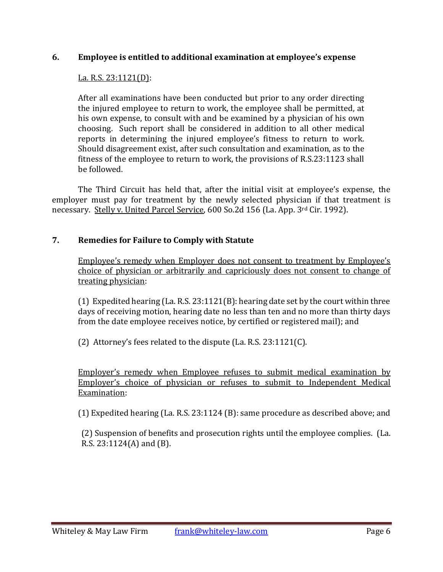#### **6. Employee is entitled to additional examination at employee's expense**

#### La. R.S. 23:1121(D):

After all examinations have been conducted but prior to any order directing the injured employee to return to work, the employee shall be permitted, at his own expense, to consult with and be examined by a physician of his own choosing. Such report shall be considered in addition to all other medical reports in determining the injured employee's fitness to return to work. Should disagreement exist, after such consultation and examination, as to the fitness of the employee to return to work, the provisions of R.S.23:1123 shall be followed.

The Third Circuit has held that, after the initial visit at employee's expense, the employer must pay for treatment by the newly selected physician if that treatment is necessary. Stelly v. United Parcel Service, 600 So.2d 156 (La. App. 3rd Cir. 1992).

#### **7. Remedies for Failure to Comply with Statute**

Employee's remedy when Employer does not consent to treatment by Employee's choice of physician or arbitrarily and capriciously does not consent to change of treating physician:

(1) Expedited hearing (La. R.S. 23:1121(B): hearing date set by the court within three days of receiving motion, hearing date no less than ten and no more than thirty days from the date employee receives notice, by certified or registered mail); and

(2) Attorney's fees related to the dispute (La. R.S. 23:1121(C).

Employer's remedy when Employee refuses to submit medical examination by Employer's choice of physician or refuses to submit to Independent Medical Examination:

(1) Expedited hearing (La. R.S. 23:1124 (B): same procedure as described above; and

(2) Suspension of benefits and prosecution rights until the employee complies. (La. R.S. 23:1124(A) and (B).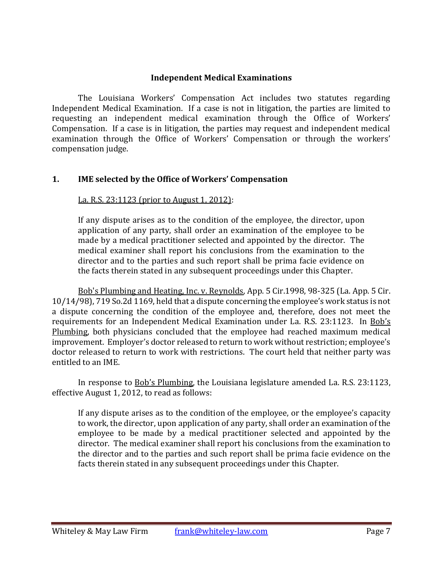#### **Independent Medical Examinations**

The Louisiana Workers' Compensation Act includes two statutes regarding Independent Medical Examination. If a case is not in litigation, the parties are limited to requesting an independent medical examination through the Office of Workers' Compensation. If a case is in litigation, the parties may request and independent medical examination through the Office of Workers' Compensation or through the workers' compensation judge.

# **1. IME selected by the Office of Workers' Compensation**

La. R.S. 23:1123 (prior to August 1, 2012):

If any dispute arises as to the condition of the employee, the director, upon application of any party, shall order an examination of the employee to be made by a medical practitioner selected and appointed by the director. The medical examiner shall report his conclusions from the examination to the director and to the parties and such report shall be prima facie evidence on the facts therein stated in any subsequent proceedings under this Chapter.

Bob's Plumbing and Heating, Inc. v. Reynolds, App. 5 Cir.1998, 98-325 (La. App. 5 Cir. 10/14/98), 719 So.2d 1169, held that a dispute concerning the employee's work status is not a dispute concerning the condition of the employee and, therefore, does not meet the requirements for an Independent Medical Examination under La. R.S. 23:1123. In Bob's Plumbing, both physicians concluded that the employee had reached maximum medical improvement. Employer's doctor released to return to work without restriction; employee's doctor released to return to work with restrictions. The court held that neither party was entitled to an IME.

In response to Bob's Plumbing, the Louisiana legislature amended La. R.S. 23:1123, effective August 1, 2012, to read as follows:

If any dispute arises as to the condition of the employee, or the employee's capacity to work, the director, upon application of any party, shall order an examination of the employee to be made by a medical practitioner selected and appointed by the director. The medical examiner shall report his conclusions from the examination to the director and to the parties and such report shall be prima facie evidence on the facts therein stated in any subsequent proceedings under this Chapter.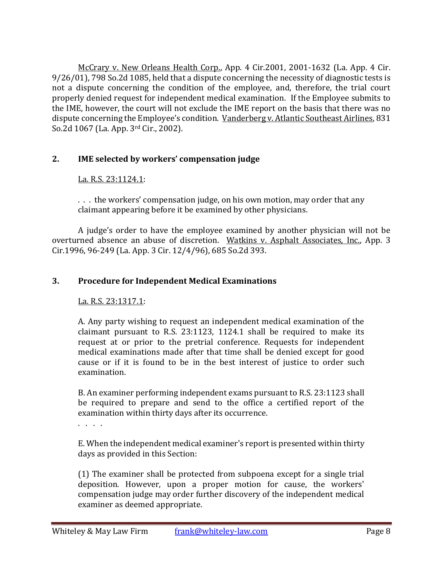McCrary v. New Orleans Health Corp., App. 4 Cir.2001, 2001-1632 (La. App. 4 Cir. 9/26/01), 798 So.2d 1085, held that a dispute concerning the necessity of diagnostic tests is not a dispute concerning the condition of the employee, and, therefore, the trial court properly denied request for independent medical examination. If the Employee submits to the IME, however, the court will not exclude the IME report on the basis that there was no dispute concerning the Employee's condition. Vanderberg v. Atlantic Southeast Airlines, 831 So.2d 1067 (La. App. 3rd Cir., 2002).

# **2. IME selected by workers' compensation judge**

#### La. R.S. 23:1124.1:

. . . the workers' compensation judge, on his own motion, may order that any claimant appearing before it be examined by other physicians.

A judge's order to have the employee examined by another physician will not be overturned absence an abuse of discretion. Watkins v. Asphalt Associates, Inc., App. 3 Cir.1996, 96-249 (La. App. 3 Cir. 12/4/96), 685 So.2d 393.

#### **3. Procedure for Independent Medical Examinations**

#### La. R.S. 23:1317.1:

A. Any party wishing to request an independent medical examination of the claimant pursuant to R.S. 23:1123, 1124.1 shall be required to make its request at or prior to the pretrial conference. Requests for independent medical examinations made after that time shall be denied except for good cause or if it is found to be in the best interest of justice to order such examination.

B. An examiner performing independent exams pursuant to R.S. 23:1123 shall be required to prepare and send to the office a certified report of the examination within thirty days after its occurrence.

. . . .

E. When the independent medical examiner's report is presented within thirty days as provided in this Section:

(1) The examiner shall be protected from subpoena except for a single trial deposition. However, upon a proper motion for cause, the workers' compensation judge may order further discovery of the independent medical examiner as deemed appropriate.